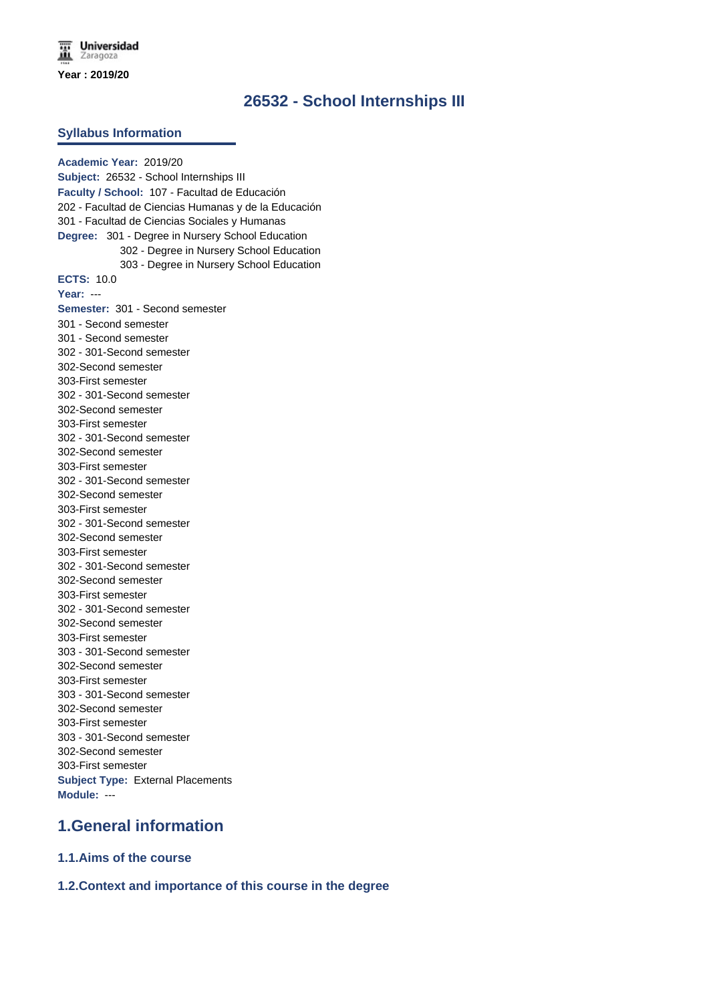# **26532 - School Internships III**

#### **Syllabus Information**

**Academic Year:** 2019/20 **Subject:** 26532 - School Internships III **Faculty / School:** 107 - Facultad de Educación 202 - Facultad de Ciencias Humanas y de la Educación 301 - Facultad de Ciencias Sociales y Humanas **Degree:** 301 - Degree in Nursery School Education 302 - Degree in Nursery School Education 303 - Degree in Nursery School Education **ECTS:** 10.0 **Year:** --- **Semester:** 301 - Second semester 301 - Second semester 301 - Second semester 302 - 301-Second semester 302-Second semester 303-First semester 302 - 301-Second semester 302-Second semester 303-First semester 302 - 301-Second semester 302-Second semester 303-First semester 302 - 301-Second semester 302-Second semester 303-First semester 302 - 301-Second semester 302-Second semester 303-First semester 302 - 301-Second semester 302-Second semester 303-First semester 302 - 301-Second semester 302-Second semester 303-First semester 303 - 301-Second semester 302-Second semester 303-First semester 303 - 301-Second semester 302-Second semester 303-First semester 303 - 301-Second semester 302-Second semester 303-First semester **Subject Type:** External Placements **Module:** ---

## **1.General information**

**1.1.Aims of the course**

### **1.2.Context and importance of this course in the degree**